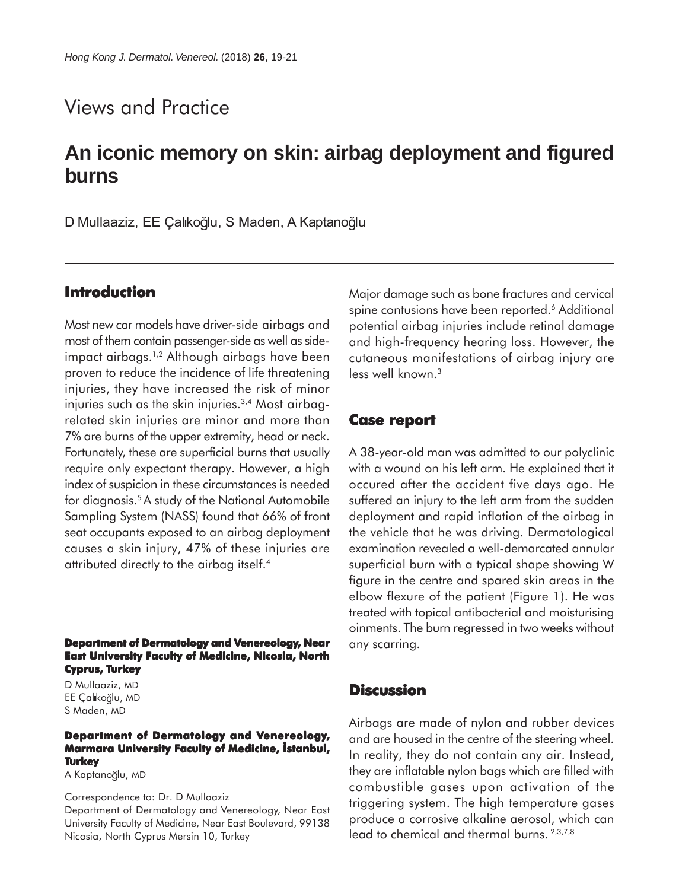# Views and Practice

# **An iconic memory on skin: airbag deployment and figured burns**

D Mullaaziz, EE Calikoğlu, S Maden, A Kaptanoğlu

### **Introduction**

Most new car models have driver-side airbags and most of them contain passenger-side as well as sideimpact airbags.1,2 Although airbags have been proven to reduce the incidence of life threatening injuries, they have increased the risk of minor injuries such as the skin injuries.<sup>3,4</sup> Most airbagrelated skin injuries are minor and more than 7% are burns of the upper extremity, head or neck. Fortunately, these are superficial burns that usually require only expectant therapy. However, a high index of suspicion in these circumstances is needed for diagnosis.<sup>5</sup> A study of the National Automobile Sampling System (NASS) found that 66% of front seat occupants exposed to an airbag deployment causes a skin injury, 47% of these injuries are attributed directly to the airbag itself.4

**Department of Dermatology and Venereology, Near East University Faculty of Medicine, Nicosia, North Cyprus, Turkey**

D Mullaaziz, MD EE Çalıkoğlu, MD S Maden, MD

#### **Department of Dermatology and Venereology, Marmara University Faculty of Medicine, istanbul, Turkey**

A Kaptanoğlu, MD

Correspondence to: Dr. D Mullaaziz

Department of Dermatology and Venereology, Near East University Faculty of Medicine, Near East Boulevard, 99138 Nicosia, North Cyprus Mersin 10, Turkey

Major damage such as bone fractures and cervical spine contusions have been reported.<sup>6</sup> Additional potential airbag injuries include retinal damage and high-frequency hearing loss. However, the cutaneous manifestations of airbag injury are less well known.3

#### **Case report**

A 38-year-old man was admitted to our polyclinic with a wound on his left arm. He explained that it occured after the accident five days ago. He suffered an injury to the left arm from the sudden deployment and rapid inflation of the airbag in the vehicle that he was driving. Dermatological examination revealed a well-demarcated annular superficial burn with a typical shape showing W figure in the centre and spared skin areas in the elbow flexure of the patient (Figure 1). He was treated with topical antibacterial and moisturising oinments. The burn regressed in two weeks without any scarring.

#### **Discussion**

Airbags are made of nylon and rubber devices and are housed in the centre of the steering wheel. In reality, they do not contain any air. Instead, they are inflatable nylon bags which are filled with combustible gases upon activation of the triggering system. The high temperature gases produce a corrosive alkaline aerosol, which can lead to chemical and thermal burns. 2,3,7,8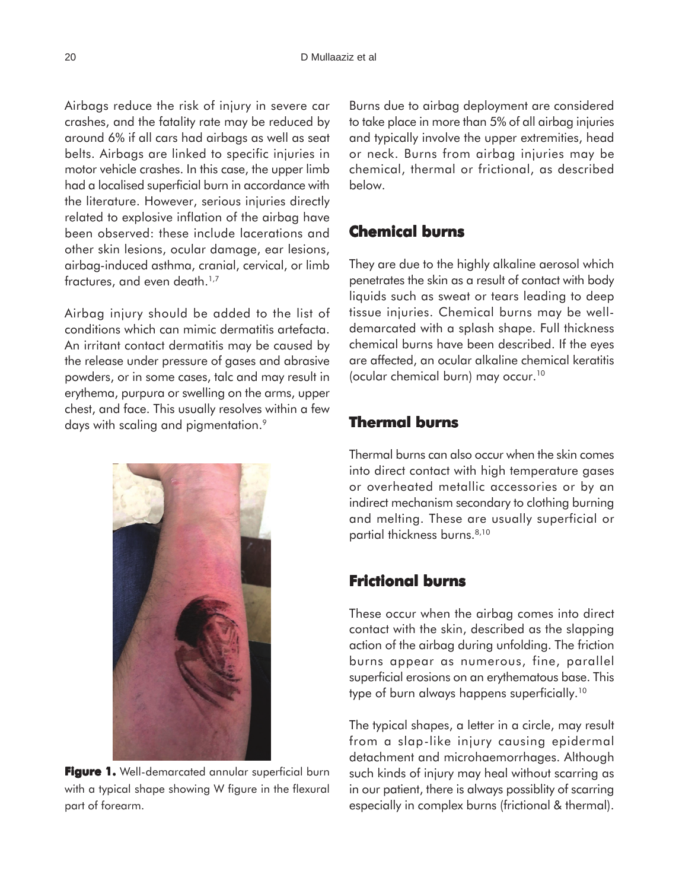Airbags reduce the risk of injury in severe car crashes, and the fatality rate may be reduced by around 6% if all cars had airbags as well as seat belts. Airbags are linked to specific injuries in motor vehicle crashes. In this case, the upper limb had a localised superficial burn in accordance with the literature. However, serious injuries directly related to explosive inflation of the airbag have been observed: these include lacerations and other skin lesions, ocular damage, ear lesions, airbag-induced asthma, cranial, cervical, or limb fractures, and even death.<sup>1,7</sup>

Airbag injury should be added to the list of conditions which can mimic dermatitis artefacta. An irritant contact dermatitis may be caused by the release under pressure of gases and abrasive powders, or in some cases, talc and may result in erythema, purpura or swelling on the arms, upper chest, and face. This usually resolves within a few days with scaling and pigmentation.<sup>9</sup>



Figure 1. Well-demarcated annular superficial burn with a typical shape showing W figure in the flexural part of forearm.

Burns due to airbag deployment are considered to take place in more than 5% of all airbag injuries and typically involve the upper extremities, head or neck. Burns from airbag injuries may be chemical, thermal or frictional, as described below.

### **Chemical burns**

They are due to the highly alkaline aerosol which penetrates the skin as a result of contact with body liquids such as sweat or tears leading to deep tissue injuries. Chemical burns may be welldemarcated with a splash shape. Full thickness chemical burns have been described. If the eyes are affected, an ocular alkaline chemical keratitis (ocular chemical burn) may occur.10

## **Thermal burns**

Thermal burns can also occur when the skin comes into direct contact with high temperature gases or overheated metallic accessories or by an indirect mechanism secondary to clothing burning and melting. These are usually superficial or partial thickness burns.8,10

### **Frictional burns**

These occur when the airbag comes into direct contact with the skin, described as the slapping action of the airbag during unfolding. The friction burns appear as numerous, fine, parallel superficial erosions on an erythematous base. This type of burn always happens superficially.10

The typical shapes, a letter in a circle, may result from a slap-like injury causing epidermal detachment and microhaemorrhages. Although such kinds of injury may heal without scarring as in our patient, there is always possiblity of scarring especially in complex burns (frictional & thermal).